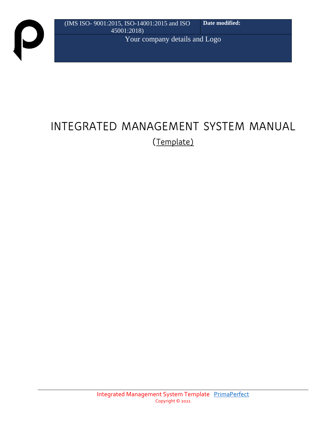$\boldsymbol{\mathsf{D}}$ 

# **INTEGRATED MANAGEMENT SYSTEM MANUAL (Template)**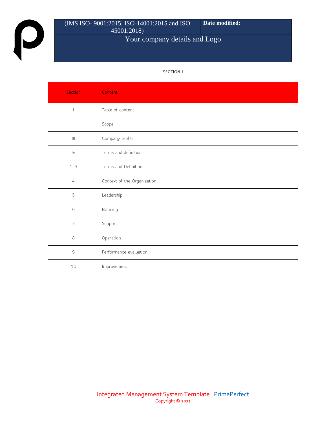$\boldsymbol{\mathsf{p}}$ 

#### (IMS ISO- 9001:2015, ISO-14001:2015 and ISO 45001:2018) **Date modified:**

## Your company details and Logo

#### **SECTION I**

| Section           | Content                     |
|-------------------|-----------------------------|
|                   | Table of content            |
| $\vert\vert$      | Scope                       |
| $\vert\vert\vert$ | Company profile             |
| $\mathsf{IV}$     | Terms and definition        |
| $1 - 3$           | Terms and Definitions       |
| $\overline{4}$    | Context of the Organization |
| 5                 | Leadership                  |
| $\mathsf{6}$      | Planning                    |
| $\overline{7}$    | Support                     |
| $\,8\,$           | Operation                   |
| $\mathbb{S}$      | Performance evaluation      |
| 10                | Improvement                 |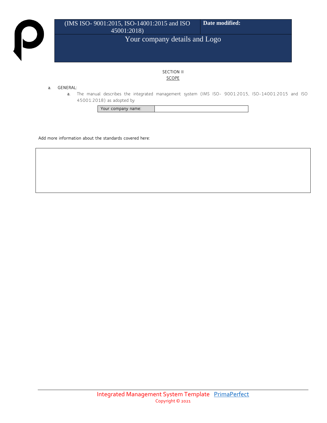

#### **SECTION II SCOPE**

#### **a. GENERAL:**

**a.** The manual describes the integrated management system (IMS ISO- 9001:2015, ISO-14001:2015 and ISO 45001:2018) as adopted by

**Your company name:**

**Add more information about the standards covered here:**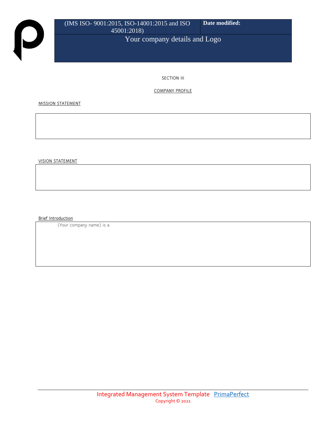**SECTION III**

**COMPANY PROFILE**

**MISSION STATEMENT** 

**VISION STATEMENT**

**Brief Introduction** 

(Your company name) is a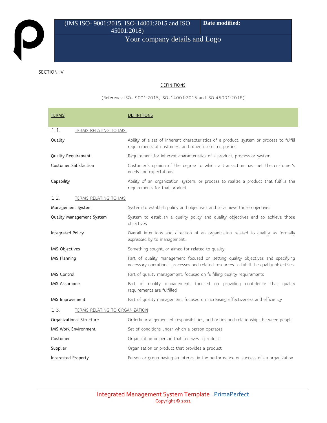#### **SECTION IV**

#### **DEFINITIONS**

(Reference ISO- 9001:2015, ISO-14001:2015 and ISO 45001:2018)

| <b>TERMS</b>                                                                   | <b>DEFINITIONS</b>                                                                                                                                                          |  |
|--------------------------------------------------------------------------------|-----------------------------------------------------------------------------------------------------------------------------------------------------------------------------|--|
| 1.1.<br>TERMS RELATING TO IMS.                                                 |                                                                                                                                                                             |  |
| Quality                                                                        | Ability of a set of inherent characteristics of a product, system or process to fulfill<br>requirements of customers and other interested parties.                          |  |
| Quality Requirement                                                            | Requirement for inherent characteristics of a product, process or system                                                                                                    |  |
| Customer Satisfaction                                                          | Customer's opinion of the degree to which a transaction has met the customer's<br>needs and expectations                                                                    |  |
| Capability                                                                     | Ability of an organization, system, or process to realize a product that fulfills the<br>requirements for that product                                                      |  |
| 1.2.<br>TERMS RELATING TO IMS                                                  |                                                                                                                                                                             |  |
| Management System                                                              | System to establish policy and objectives and to achieve those objectives                                                                                                   |  |
| Quality Management System                                                      | System to establish a quality policy and quality objectives and to achieve those<br>objectives                                                                              |  |
| Integrated Policy                                                              | Overall intentions and direction of an organization related to quality as formally<br>expressed by to management.                                                           |  |
| IMS Objectives                                                                 | Something sought, or aimed for related to quality.                                                                                                                          |  |
| IMS Planning                                                                   | Part of quality management focused on setting quality objectives and specifying<br>necessary operational processes and related resources to fulfill the quality objectives. |  |
| <b>IMS Control</b>                                                             | Part of quality management, focused on fulfilling quality requirements                                                                                                      |  |
| <b>IMS Assurance</b>                                                           | Part of quality management, focused on providing confidence that quality<br>requirements are fulfilled                                                                      |  |
| IMS Improvement                                                                | Part of quality management, focused on increasing effectiveness and efficiency                                                                                              |  |
| 1.3.<br><b>TERMS RELATING TO ORGANIZATION</b>                                  |                                                                                                                                                                             |  |
| Organizational Structure                                                       | Orderly arrangement of responsibilities, authorities and relationships between people                                                                                       |  |
| <b>IMS Work Environment</b><br>Set of conditions under which a person operates |                                                                                                                                                                             |  |
| Customer                                                                       | Organization or person that receives a product                                                                                                                              |  |
| Supplier                                                                       | Organization or product that provides a product                                                                                                                             |  |
| Interested Property                                                            | Person or group having an interest in the performance or success of an organization                                                                                         |  |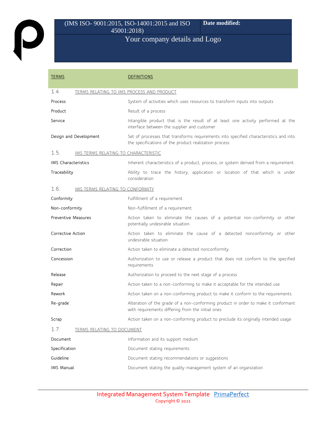| <b>TERMS</b>               |                                           | <b>DEFINITIONS</b>                                                                                                                             |  |  |
|----------------------------|-------------------------------------------|------------------------------------------------------------------------------------------------------------------------------------------------|--|--|
| 1.4.                       | TERMS RELATING TO IMS PROCESS AND PRODUCT |                                                                                                                                                |  |  |
| Process                    |                                           | System of activities which uses resources to transform inputs into outputs                                                                     |  |  |
| Product                    |                                           | Result of a process                                                                                                                            |  |  |
| Service                    |                                           | Intangible product that is the result of at least one activity performed at the<br>interface between the supplier and customer                 |  |  |
|                            | Design and Development                    | Set of processes that transforms requirements into specified characteristics and into<br>the specifications of the product realization process |  |  |
| 1.5.                       | IMS TERMS RELATING TO CHARACTERISTIC      |                                                                                                                                                |  |  |
| <b>IMS</b> Characteristics |                                           | Inherent characteristics of a product, process, or system derived from a requirement                                                           |  |  |
| Traceability               |                                           | Ability to trace the history, application or location of that which is under<br>consideration                                                  |  |  |
| 1.6.                       | IMS TERMS RELATING TO CONFORMITY          |                                                                                                                                                |  |  |
| Conformity                 |                                           | Fulfillment of a requirement.                                                                                                                  |  |  |
| Non-conformity             |                                           | Non-fulfillment of a requirement.                                                                                                              |  |  |
| <b>Preventive Measures</b> |                                           | Action taken to eliminate the causes of a potential non-conformity or other<br>potentially undesirable situation.                              |  |  |
| Corrective Action          |                                           | Action taken to eliminate the cause of a detected nonconformity or other<br>undesirable situation.                                             |  |  |
| Correction                 |                                           | Action taken to eliminate a detected nonconformity.                                                                                            |  |  |
| Concession                 |                                           | Authorization to use or release a product that does not conform to the specified<br>requirements                                               |  |  |
| Release                    |                                           | Authorization to proceed to the next stage of a process                                                                                        |  |  |
| Repair                     |                                           | Action taken to a non-conforming to make it acceptable for the intended use                                                                    |  |  |
| Rework                     |                                           | Action taken on a non-conforming product to make it conform to the requirements                                                                |  |  |
| Re-grade                   |                                           | Alteration of the grade of a non-conforming product in order to make it conformant<br>with requirements differing from the initial ones        |  |  |
| Scrap                      |                                           | Action taken on a non-conforming product to preclude its originally intended usage                                                             |  |  |
| 1.7.                       | <b>TERMS RELATING TO DOCUMENT</b>         |                                                                                                                                                |  |  |
| Document                   |                                           | Information and its support medium                                                                                                             |  |  |
| Specification              |                                           | Document stating requirements                                                                                                                  |  |  |
| Guideline                  |                                           | Document stating recommendations or suggestions                                                                                                |  |  |
| IMS Manual                 |                                           | Document stating the quality management system of an organization                                                                              |  |  |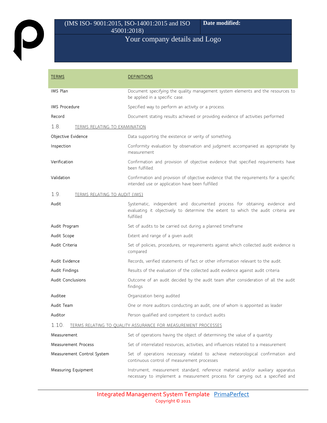P

#### (IMS ISO- 9001:2015, ISO-14001:2015 and ISO 45001:2018) **Date modified:**

## Your company details and Logo

| <b>TERMS</b>                                                                  | <b>DEFINITIONS</b>                                                                                                                                                          |  |  |
|-------------------------------------------------------------------------------|-----------------------------------------------------------------------------------------------------------------------------------------------------------------------------|--|--|
| IMS Plan                                                                      | Document specifying the quality management system elements and the resources to<br>be applied in a specific case.                                                           |  |  |
| <b>IMS Procedure</b>                                                          | Specified way to perform an activity or a process.                                                                                                                          |  |  |
| Record                                                                        | Document stating results achieved or providing evidence of activities performed                                                                                             |  |  |
| 1.8.<br><b>TERMS RELATING TO EXAMINATION</b>                                  |                                                                                                                                                                             |  |  |
| Objective Evidence                                                            | Data supporting the existence or verity of something.                                                                                                                       |  |  |
| Inspection                                                                    | Conformity evaluation by observation and judgment accompanied as appropriate by<br>measurement                                                                              |  |  |
| Verification                                                                  | Confirmation and provision of objective evidence that specified requirements have<br>been fulfilled.                                                                        |  |  |
| Validation                                                                    | Confirmation and provision of objective evidence that the requirements for a specific<br>intended use or application have been fulfilled                                    |  |  |
| 1.9.<br><b>TERMS RELATING TO AUDIT (IMS)</b>                                  |                                                                                                                                                                             |  |  |
| Audit                                                                         | Systematic, independent and documented process for obtaining evidence and<br>evaluating it objectively to determine the extent to which the audit criteria are<br>fulfilled |  |  |
| Audit Program                                                                 | Set of audits to be carried out during a planned timeframe                                                                                                                  |  |  |
| Extent and range of a given audit<br>Audit Scope                              |                                                                                                                                                                             |  |  |
| Audit Criteria                                                                | Set of policies, procedures, or requirements against which collected audit evidence is<br>compared                                                                          |  |  |
| Audit Evidence                                                                | Records, verified statements of fact or other information relevant to the audit.                                                                                            |  |  |
| Audit Findings                                                                | Results of the evaluation of the collected audit evidence against audit criteria                                                                                            |  |  |
| <b>Audit Conclusions</b>                                                      | Outcome of an audit decided by the audit team after consideration of all the audit<br>findings                                                                              |  |  |
| Auditee                                                                       | Organization being audited                                                                                                                                                  |  |  |
| Audit Team                                                                    | One or more auditors conducting an audit, one of whom is appointed as leader                                                                                                |  |  |
| Auditor                                                                       | Person qualified and competent to conduct audits                                                                                                                            |  |  |
| 1.10.<br><b>TERMS RELATING TO QUALITY ASSURANCE FOR MEASUREMENT PROCESSES</b> |                                                                                                                                                                             |  |  |
| Measurement                                                                   | Set of operations having the object of determining the value of a quantity                                                                                                  |  |  |
| <b>Measurement Process</b>                                                    | Set of interrelated resources, activities, and influences related to a measurement                                                                                          |  |  |
| Measurement Control System                                                    | Set of operations necessary related to achieve meteorological confirmation and<br>continuous control of measurement processes                                               |  |  |
| Measuring Equipment                                                           | Instrument, measurement standard, reference material and/or auxiliary apparatus<br>necessary to implement a measurement process for carrying out a specified and            |  |  |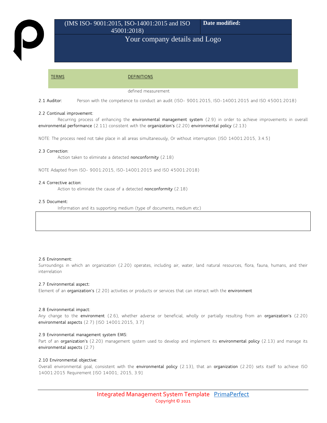**TERMS DEFINITIONS**

defined measurement

**2.1 Auditor:** Person with the competence to conduct an audit (ISO- 9001:2015, ISO-14001:2015 and ISO 45001:2018)

#### **2.2 Continual improvement:**

Recurring process of enhancing the **environmental management system** (2.9) in order to achieve improvements in overall **environmental performance** (2.11) consistent with the **organization's** (2.20) **environmental policy** (2.13)

NOTE: The process need not take place in all areas simultaneously, Or without interruption. [ISO 14001:2015, 3.4.5]

#### **2.3 Correction:**

Action taken to eliminate a detected **nonconformity** (2.18)

NOTE Adapted from ISO- 9001:2015, ISO-14001:2015 and ISO 45001:2018)

#### **2.4 Corrective action:**

Action to eliminate the cause of a detected **nonconformity** (2.18)

#### **2.5 Document:**

Information and its supporting medium (type of documents, medium etc)

#### **2.6 Environment:**

Surroundings in which an organization (2.20) operates, including air, water, land natural resources, flora, fauna, humans, and their interrelation

#### **2.7 Environmental aspect:**

Element of an **organization's** (2.20) activities or products or services that can interact with the **environment**

#### **2.8 Environmental impact:**

Any change to the **environment** (2.6), whether adverse or beneficial, wholly or partially resulting from an **organization's** (2.20) **environmental aspects** (2.7) [ISO 14001:2015, 3.7]

#### **2.9 Environmental management system EMS:**

Part of an **organization's** (2.20) management system used to develop and implement its **environmental policy** (2.13) and manage its **environmental aspects** (2.7)

#### **2.10 Environmental objective:**

Overall environmental goal, consistent with the **environmental policy** (2.13), that an **organization** (2.20) sets itself to achieve ISO 14001:2015 Requirement [ISO 14001; 2015, 3.9]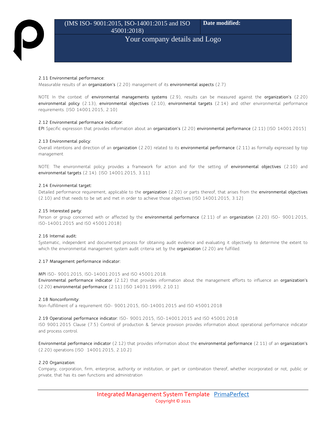#### **2.11 Environmental performance:**

Measurable results of an **organization's** (2.20) management of its **environmental aspects** (2.7)

NOTE In the context of **environmental managements systems** (2.9), results can be measured against the **organization's** (2.20) **environmental policy** (2.13), **environmental objectives** (2.10), **environmental targets** (2.14) and other environmental performance requirements. [ISO 14001:2015, 2.10]

#### **2.12 Environmental performance indicator:**

**EPI** Specific expression that provides information about an **organization's** (2.20) **environmental performance** (2.11) [ISO 14001:2015]

#### **2.13 Environmental policy:**

Overall intentions and direction of an **organization** (2.20) related to its **environmental performance** (2.11) as formally expressed by top management

NOTE: The environmental policy provides a framework for action and for the setting of **environmental objectives** (2.10) and **environmental targets** (2.14). [ISO 14001:2015, 3.11]

#### **2.14 Environmental target:**

Detailed performance requirement, applicable to the **organization** (2.20) or parts thereof, that arises from the **environmental objectives**  (2.10) and that needs to be set and met in order to achieve those objectives [ISO 14001:2015, 3.12]

#### **2.15 Interested party:**

Person or group concerned with or affected by the **environmental performance** (2.11) of an **organization** (2.20) ISO- 9001:2015, ISO-14001:2015 and ISO 45001:2018]

#### **2.16 Internal audit:**

Systematic, independent and documented process for obtaining audit evidence and evaluating it objectively to determine the extent to which the environmental management system audit criteria set by the **organization** (2.20) are fulfilled.

#### **2.17 Management performance indicator:**

**MPI** ISO- 9001:2015, ISO-14001:2015 and ISO 45001:2018. **Environmental performance indicator** (2.12) that provides information about the management efforts to influence an **organization's**  (2.20) **environmental performance** (2.11) [ISO 14031:1999, 2.10.1]

#### **2.18 Nonconformity:**

Non-fulfillment of a requirement ISO- 9001:2015, ISO-14001:2015 and ISO 45001:2018

#### **2.19 Operational performance indicator:** ISO- 9001:2015, ISO-14001:2015 and ISO 45001:2018

ISO 9001:2015 Clause (7.5) Control of production & Service provision provides information about operational performance indicator and process control.

**Environmental performance indicator** (2.12) that provides information about the **environmental performance** (2.11) of an **organization's**  (2.20) operations [ISO 14001:2015, 2.10.2]

#### **2.20 Organization:**

Company, corporation, firm, enterprise, authority or institution, or part or combination thereof, whether incorporated or not, public or private, that has its own functions and administration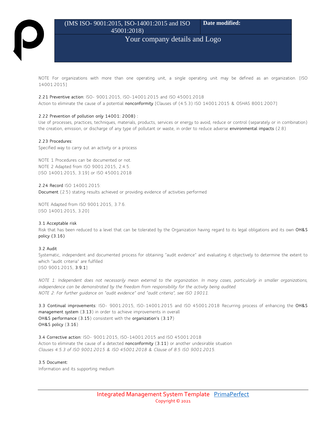#### (IMS ISO- 9001:2015, ISO-14001:2015 and ISO 45001:2018) **Date modified:**

### Your company details and Logo

NOTE For organizations with more than one operating unit, a single operating unit may be defined as an organization. [ISO 14001:2015]

#### **2.21 Preventive action:** ISO- 9001:2015, ISO-14001:2015 and ISO 45001:2018

Action to eliminate the cause of a potential **nonconformity** [Clauses of (4.5.3) ISO 14001:2015 & OSHAS 8001:2007]

#### **2.22 Prevention of pollution only 14001: 2008) :**

Use of processes, practices, techniques, materials, products, services or energy to avoid, reduce or control (separately or in combination) the creation, emission, or discharge of any type of pollutant or waste, in order to reduce adverse **environmental impacts** (2.8)

#### **2.23 Procedures:**

Specified way to carry out an activity or a process

NOTE 1 Procedures can be documented or not. NOTE 2 Adapted from ISO 9001:2015, 2.4.5. [ISO 14001:2015, 3.19] or ISO 45001:2018

**2.24 Record** ISO 14001:2015: **Document** (2.5) stating results achieved or providing evidence of activities performed

NOTE Adapted from ISO 9001:2015, 3.7.6. [ISO 14001:2015, 3.20]

#### **3.1 Acceptable risk**

Risk that has been reduced to a level that can be tolerated by the Organization having regard to its legal obligations and its own **OH&S policy (3.16)**

#### **3.2 Audit**

Systematic, independent and documented process for obtaining "audit evidence" and evaluating it objectively to determine the extent to which "audit criteria" are fulfilled [ISO 9001:2015, **3.9.1**]

*NOTE 1: Independent does not necessarily mean external to the organization. In many cases, particularly in smaller organizations, independence can be demonstrated by the freedom from responsibility for the activity being audited. NOTE 2: For further guidance on "audit evidence" and "audit criteria", see ISO 19011.*

**3.3 Continual improvements:** ISO- 9001:2015, ISO-14001:2015 and ISO 45001:2018 Recurring process of enhancing the **OH&S management system** (**3.13**) in order to achieve improvements in overall **OH&S performance** (**3.15**) consistent with the **organization's** (**3.17**) **OH&S policy** (**3.16**)

**3.4 Corrective action:** ISO- 9001:2015, ISO-14001:2015 and ISO 45001:2018 Action to eliminate the cause of a detected **nonconformity** (**3.11**) or another undesirable situation *Clauses 4.5.3 of ISO 9001:2015 & ISO 45001:2018 & Clause of 8.5 ISO 9001:2015.*

#### **3.5 Document:**

Information and its supporting medium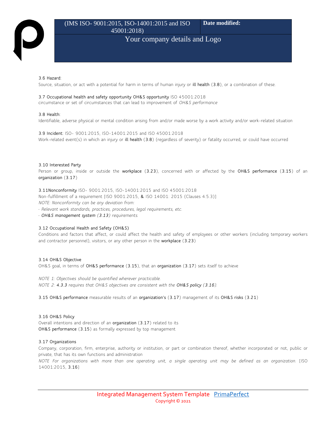#### **3.6 Hazard:**

Source, situation, or act with a potential for harm in terms of human injury or **ill health** (**3.8**), or a combination of these.

#### **3.7 Occupational health and safety opportunity OH&S opportunity** ISO 45001:2018

circumstance or set of circumstances that can lead to improvement of *OH&S performance*

#### **3.8 Health:**

Identifiable, adverse physical or mental condition arising from and/or made worse by a work activity and/or work-related situation

**3.9 Incident:** ISO- 9001:2015, ISO-14001:2015 and ISO 45001:2018 Work-related event(s) in which an injury or **ill health** (**3.8**) (regardless of severity) or fatality occurred, or could have occurred

#### **3.10 Interested Party**

Person or group, inside or outside the **workplace** (**3.23**), concerned with or affected by the **OH&S performance** (**3.15**) of an **organization** (**3.17**)

**3.11Nonconformity** ISO- 9001:2015, ISO-14001:2015 and ISO 45001:2018 Non-fulfillment of a requirement [ISO 9001:2015, **&** ISO 14001: 2015 (Clauses 4.5.3)]

*NOTE: Nonconformity can be any deviation from:*

*• Relevant work standards, practices, procedures, legal requirements, etc.*

*• OH&S management system (3.13) requirements.*

#### **3.12 Occupational Health and Safety (OH&S)**

Conditions and factors that affect, or could affect the health and safety of employees or other workers (including temporary workers and contractor personnel), visitors, or any other person in the **workplace** (**3.23**)

#### **3.14 OH&S Objective**

OH&S goal, in terms of **OH&S performance** (**3.15**), that an **organization** (**3.17**) sets itself to achieve

*NOTE 1: Objectives should be quantified wherever practicable. NOTE 2: 4.3.3 requires that OH&S objectives are consistent with the OH&S policy (3.16).* 

**3.15 OH&S performance** measurable results of an **organization's** (**3.17**) management of its **OH&S risks** (**3.21**)

**3.16 OH&S Policy** Overall intentions and direction of an **organization** (**3.17**) related to its **OH&S performance** (**3.15**) as formally expressed by top management

#### **3.17 Organizations**

Company, corporation, firm, enterprise, authority or institution, or part or combination thereof, whether incorporated or not, public or private, that has its own functions and administration

*NOTE For organizations with more than one operating unit, a single operating unit may be defined as an organization.* [ISO 14001:2015, **3.16**]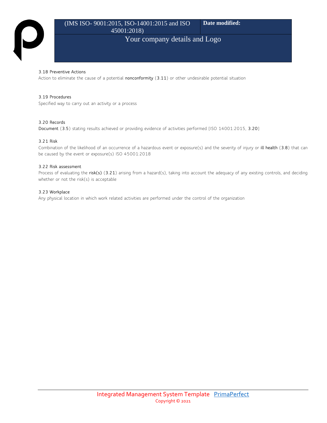#### (IMS ISO- 9001:2015, ISO-14001:2015 and ISO 45001:2018) **Date modified:**

## Your company details and Logo

#### **3.18 Preventive Actions**

Action to eliminate the cause of a potential **nonconformity** (**3.11**) or other undesirable potential situation

#### **3.19 Procedures**

Specified way to carry out an activity or a process

#### **3.20 Records**

**Document** (**3.5**) stating results achieved or providing evidence of activities performed [ISO 14001:2015, **3.20**]

#### **3.21 Risk**

Combination of the likelihood of an occurrence of a hazardous event or exposure(s) and the severity of injury or **ill health** (**3.8**) that can be caused by the event or exposure(s) ISO 45001:2018

#### **3.22 Risk assessment**

Process of evaluating the **risk(s)** (**3.21**) arising from a hazard(s), taking into account the adequacy of any existing controls, and deciding whether or not the risk(s) is acceptable

#### **3.23 Workplace**

Any physical location in which work related activities are performed under the control of the organization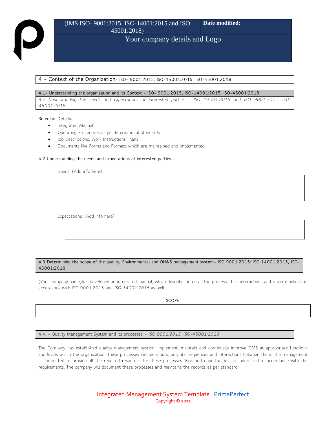#### **4 - Context of the Organization- ISO- 9001:2015, ISO-14001:2015, ISO-45001:2018**

#### **4.1- Understanding the organization and its Context - ISO- 9001:2015, ISO-14001:2015, ISO-45001:2018**

*4.2 Understanding the needs and expectations of interested parties – ISO 14001:2015 and ISO 9001:2015, ISO-45001:2018*

#### **Refer for Details:**

- Integrated Manual
- Operating Procedures as per International Standards
- Job Descriptions, Work Instructions, Plans
- Documents like Forms and Formats which are maintained and implemented

#### **4.2 Understanding the needs and expectations of interested parties**

Needs: (Add info here)

Expectations: (Add info here)

#### **4.3 Determining the scope of the quality, Environmental and OH&S management system– ISO 9001:2015: ISO 14001:2015, ISO-45001:2018**

(Your company name)has developed an integrated manual, which describes in detail the process, their interactions and referral policies in accordance with ISO 9001:2015 and *ISO 14001:2015* as well.

**SCOPE:** 

4.4. – Quality Management System and its processes *– ISO 9001:2015, ISO-45001:2018*

The Company has established quality management system, implement, maintain and continually improve QMS at appropriate functions and levels within the organization. These processes include inputs, outputs, sequences and interactions between them. The management is committed to provide all the required resources for these processes. Risk and opportunities are addressed in accordance with the requirements. The company will document these processes and maintains the records as per standard.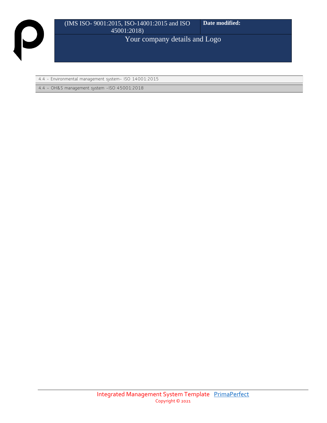4.4 - Environmental management system– ISO 14001:2015

4.4 – OH&S management system –ISO 45001:2018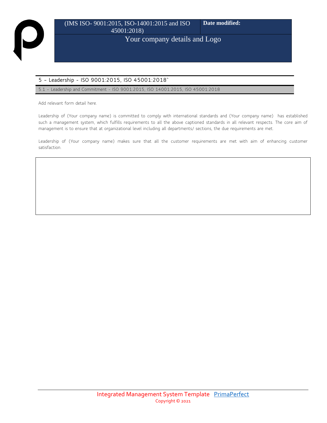### **5 – Leadership - ISO 9001:2015, ISO 45001:2018`**

5.1 – Leadership and Commitment - ISO 9001:2015, ISO 14001:2015, ISO 45001:2018

Add relevant form detail here.

Leadership of (Your company name) is committed to comply with international standards and (Your company name) has established such a management system, which fulfills requirements to all the above captioned standards in all relevant respects. The core aim of management is to ensure that at organizational level including all departments/ sections, the due requirements are met.

Leadership of (Your company name) makes sure that all the customer requirements are met with aim of enhancing customer satisfaction.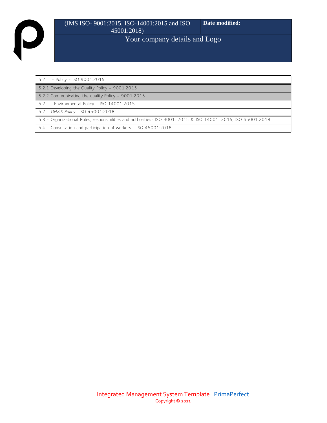| 52 |  | $-$ Policy - ISO 9001:2015 |
|----|--|----------------------------|

5.2.1 Developing the Quality Policy – 9001:2015

5.2.2 Communicating the quality Policy – 9001:2015

5.2 – Environmental Policy – ISO 14001:2015

5.2 - *OH&S Policy*– ISO 45001:2018

5.3 - Organizational Roles, responsibilities and authorities- ISO 9001: 2015 & ISO 14001: 2015, ISO 45001:2018

5.4 - Consultation and participation of workers - ISO 45001:2018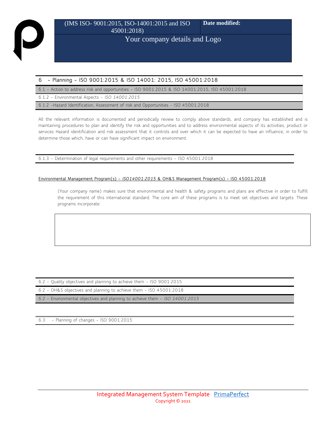#### **6 – Planning – ISO 9001:2015 & ISO 14001: 2015, ISO 45001:2018**

6.1 – Action to address risk and opportunities – ISO 9001:2015 & ISO 14001:2015, ISO 45001:2018

6.1.2 – Environmental Aspects – *ISO 14001:2015*

6.1.2 –Hazard Identification, Assessment of risk and Opportunities - ISO 45001:2018

All the relevant information is documented and periodically review to comply above standards, and company has established and is maintaining procedures to plan and identify the risk and opportunities and to address environmental aspects of its activities, product or services Hazard identification and risk assessment that it controls and over which it can be expected to have an influence, in order to determine those which, have or can have significant impact on environment.

6.1.3 – Determination of legal requirements and other requirements – ISO 45001:2018

#### **Environmental Management Program(s) –** *ISO14001:2015* **& OH&S Management Program(s) – ISO 45001:2018**

(Your company name) makes sure that environmental and health & safety programs and plans are effective in order to fulfill the requirement of this international standard. The core aim of these programs is to meet set objectives and targets. These programs incorporate:

6.2 – Quality objectives and planning to achieve them – ISO 9001:2015

6.2 – OH&S objectives and planning to achieve them – ISO 45001:2018

6.2 – Environmental objectives and planning to achieve them – *ISO 14001:2015*

6.3 – Planning of changes – ISO 9001:2015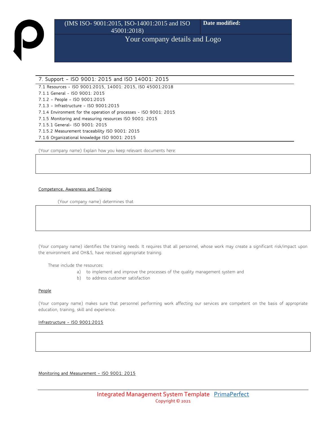#### **7. Support – ISO 9001: 2015 and ISO 14001: 2015**

**7.1 Resources - ISO 9001:2015, 14001: 2015, ISO 45001:2018**

**7.1.1 General - ISO 9001: 2015**

**7.1.2 – People – ISO 9001:2015**

**7.1.3 – Infrastructure – ISO 9001:2015**

**7.1.4 Environment for the operation of processes - ISO 9001: 2015**

**7.1.5 Monitoring and measuring resources ISO 9001: 2015**

**7.1.5.1 General- ISO 9001: 2015**

**7.1.5.2 Measurement traceability ISO 9001: 2015** 

**7.1.6 Organizational knowledge ISO 9001: 2015**

(Your company name) Explain how you keep relevant documents here:

#### **Competence, Awareness and Training**

(Your company name) determines that

(Your company name) identifies the training needs. It requires that all personnel, whose work may create a significant risk/impact upon the environment and OH&S, have received appropriate training.

These include the resources:

- a) to implement and improve the processes of the quality management system and
- b) to address customer satisfaction

#### **People**

(Your company name) makes sure that personnel performing work affecting our services are competent on the basis of appropriate education, training, skill and experience.

#### **Infrastructure – ISO 9001:2015**

**Monitoring and Measurement – ISO 9001: 2015**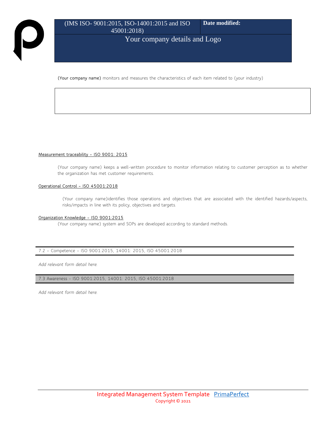**(Your company name)** monitors and measures the characteristics of each item related to (your industry)

#### **Measurement traceability – ISO 9001: 2015**

(Your company name) keeps a well-written procedure to monitor information relating to customer perception as to whether the organization has met customer requirements.

#### **Operational Control – ISO 45001:2018**

(Your company name)identifies those operations and objectives that are associated with the identified hazards/aspects, risks/impacts in line with its policy, objectives and targets.

#### **Organization Knowledge – ISO 9001:2015**

(Your company name) system and SOPs are developed according to standard methods.

#### 7.2 – Competence – ISO 9001:2015, 14001: 2015, ISO 45001:2018

*Add relevant form detail here.*

7.3 Awareness - ISO 9001:2015, 14001: 2015, ISO 45001:2018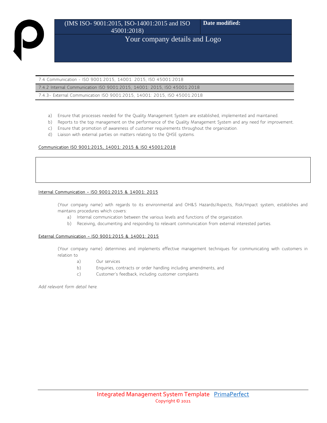7.4 Communication - ISO 9001:2015, 14001: 2015, ISO 45001:2018

7.4.2 Internal Communication ISO 9001:2015, 14001: 2015, ISO 45001:2018

7.4.3- External Communication ISO 9001:2015, 14001: 2015, ISO 45001:2018

- a) Ensure that processes needed for the Quality Management System are established, implemented and maintained.
- b) Reports to the top management on the performance of the Quality Management System and any need for improvement.
- c) Ensure that promotion of awareness of customer requirements throughout the organization.
- d) Liaison with external parties on matters relating to the QHSE systems.

#### **Communication ISO 9001:2015, 14001: 2015 & ISO 45001:2018**

#### **Internal Communication – ISO 9001:2015 & 14001: 2015**

(Your company name) with regards to its environmental and OH&S Hazards/Aspects, Risk/Impact system, establishes and maintains procedures which covers:

- a) Internal communication between the various levels and functions of the organization.
- b) Receiving, documenting and responding to relevant communication from external interested parties.

#### **External Communication – ISO 9001:2015 & 14001: 2015**

(Your company name) determines and implements effective management techniques for communicating with customers in relation to

- a) Our services
- b) Enquiries, contracts or order handling including amendments, and
- c) Customer's feedback, including customer complaints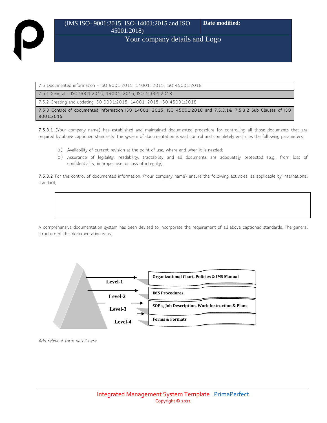7.5 Documented information - ISO 9001:2015, 14001: 2015, ISO 45001:2018

7.5.1 General - ISO 9001:2015, 14001: 2015, ISO 45001:2018

7.5.2 Creating and updating ISO 9001:2015, 14001: 2015, ISO 45001:2018

**7.5.3 Control of documented information ISO 14001: 2015, ISO 45001:2018 and 7.5.3.1& 7.5.3.2 Sub Clauses of ISO 9001:2015**

**7.5.3.1** (Your company name) has established and maintained documented procedure for controlling all those documents that are required by above captioned standards. The system of documentation is well control and completely encircles the following parameters:

- a) Availability of current revision at the point of use, where and when it is needed;
- b) Assurance of legibility, readability, tractability and all documents are adequately protected (e.g., from loss of confidentiality, improper use, or loss of integrity).

**7.5.3.2** For the control of documented information, (Your company name) ensure the following activities, as applicable by international standard;



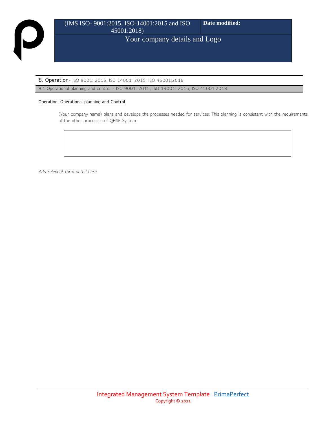**8. Operation**- ISO 9001: 2015, ISO 14001: 2015, ISO 45001:2018

8.1 Operational planning and control - ISO 9001: 2015, ISO 14001: 2015, ISO 45001:2018

#### **Operation, Operational planning and Control**

(Your company name) plans and develops the processes needed for services. This planning is consistent with the requirements of the other processes of QHSE System.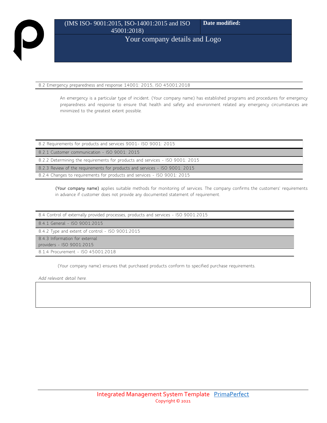8.2 Emergency preparedness and response 14001: 2015, ISO 45001:2018

An emergency is a particular type of incident. (Your company name) has established programs and procedures for emergency preparedness and response to ensure that health and safety and environment related any emergency circumstances are minimized to the greatest extent possible.

| 8.2 Requirements for products and services 9001-1SO 9001: 2015                |  |  |
|-------------------------------------------------------------------------------|--|--|
| 8.2.1 Customer communication - ISO 9001: 2015                                 |  |  |
| 8.2.2 Determining the requirements for products and services - ISO 9001: 2015 |  |  |
| 8.2.3 Review of the requirements for products and services - ISO 9001: 2015   |  |  |
| 8.2.4 Changes to requirements for products and services - ISO 9001: 2015      |  |  |

**(Your company name)** applies suitable methods for monitoring of services. The company confirms the customers' requirements in advance if customer does not provide any documented statement of requirement.

| 8.4 Control of externally provided processes, products and services - ISO 9001:2015 |
|-------------------------------------------------------------------------------------|
| 8.4.1 General - ISO 9001:2015                                                       |
| 8.4.2 Type and extent of control - ISO 9001:2015                                    |
| 8.4.3 Information for external                                                      |
| providers - ISO 9001:2015                                                           |
| 8.1.4 Procurement - ISO 45001:2018                                                  |

(Your company name) ensures that purchased products conform to specified purchase requirements.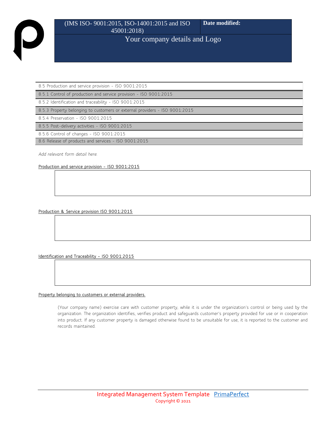8.5 Production and service provision - ISO 9001:2015

8.5.1 Control of production and service provision - ISO 9001:2015

8.5.2 Identification and traceability - ISO 9001:2015

8.5.3 Property belonging to customers or external providers - ISO 9001:2015

8.5.4 Preservation - ISO 9001:2015

8.5.5 Post-delivery activities - ISO 9001:2015

8.5.6 Control of changes - ISO 9001:2015

8.6 Release of products and services - ISO 9001:2015

*Add relevant form detail here.*

**Production and service provision – ISO 9001:2015**

**Production & Service provision ISO 9001:2015**

**Identification and Traceability – ISO 9001:2015**

#### **Property belonging to customers or external providers.**

(Your company name) exercise care with customer property, while it is under the organization's control or being used by the organization. The organization identifies, verifies product and safeguards customer's property provided for use or in cooperation into product. If any customer property is damaged otherwise found to be unsuitable for use, it is reported to the customer and records maintained.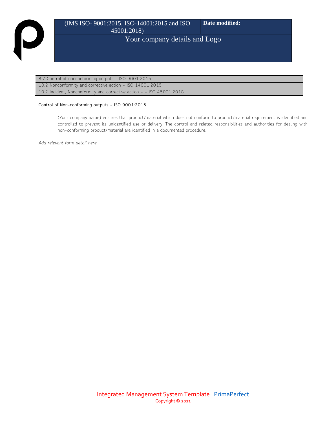### 8.7 Control of nonconforming outputs - ISO 9001:2015

10.2 Nonconformity and corrective action – ISO 14001:2015

10.2 Incident, Nonconformity and corrective action – – ISO 45001:2018

#### **Control of Non-conforming outputs – ISO 9001:2015**

(Your company name) ensures that product/material which does not conform to product/material requirement is identified and controlled to prevent its unidentified use or delivery. The control and related responsibilities and authorities for dealing with non-conforming product/material are identified in a documented procedure.

*Add relevant form detail here.*

 $\overline{\phantom{0}}$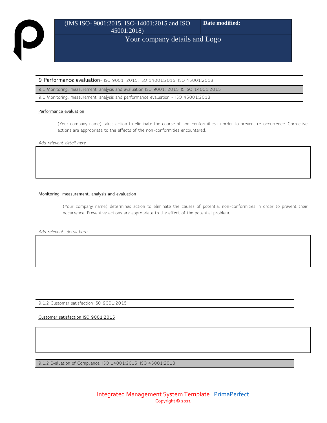#### **9 Performance evaluation**- ISO 9001: 2015, ISO 14001:2015, ISO 45001:2018

9.1 Monitoring, measurement, analysis and evaluation ISO 9001: 2015 & ISO 14001:2015

9.1 Monitoring, measurement, analysis and performance evaluation – ISO 45001:2018

#### **Performance evaluation**

(Your company name) takes action to eliminate the course of non-conformities in order to prevent re-occurrence. Corrective actions are appropriate to the effects of the non-conformities encountered.

*Add relevant detail here.*

#### **Monitoring, measurement, analysis and evaluation**

(Your company name) determines action to eliminate the causes of potential non-conformities in order to prevent their occurrence. Preventive actions are appropriate to the effect of the potential problem.

*Add relevant detail here.*

9.1.2 Customer satisfaction ISO 9001:2015

**Customer satisfaction ISO 9001:2015** 

9.1.2 Evaluation of Compliance. ISO 14001:2015, ISO 45001:2018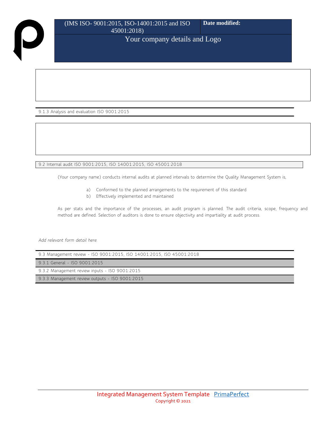9.1.3 Analysis and evaluation ISO 9001:2015

9.2 Internal audit ISO 9001:2015, ISO 14001:2015, ISO 45001:2018

(Your company name) conducts internal audits at planned intervals to determine the Quality Management System is,

- a) Conformed to the planned arrangements to the requirement of this standard
- b) Effectively implemented and maintained

As per stats and the importance of the processes, an audit program is planned. The audit criteria, scope, frequency and method are defined. Selection of auditors is done to ensure objectivity and impartiality at audit process.

| 9.3 Management review - ISO 9001:2015, ISO 14001:2015, ISO 45001:2018 |
|-----------------------------------------------------------------------|
| 9.3.1 General - ISO 9001:2015                                         |
| 9.3.2 Management review inputs - ISO 9001:2015                        |
| 9.3.3 Management review outputs - ISO 9001:2015                       |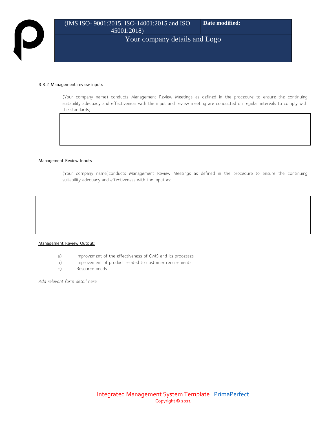#### **9.3.2 Management review inputs**

(Your company name) conducts Management Review Meetings as defined in the procedure to ensure the continuing suitability adequacy and effectiveness with the input and review meeting are conducted on regular intervals to comply with the standards;

#### **Management Review Inputs**

(Your company name)conducts Management Review Meetings as defined in the procedure to ensure the continuing suitability adequacy and effectiveness with the input as:

#### **Management Review Output:**

- a) Improvement of the effectiveness of QMS and its processes
- b) Improvement of product related to customer requirements
- c) Resource needs